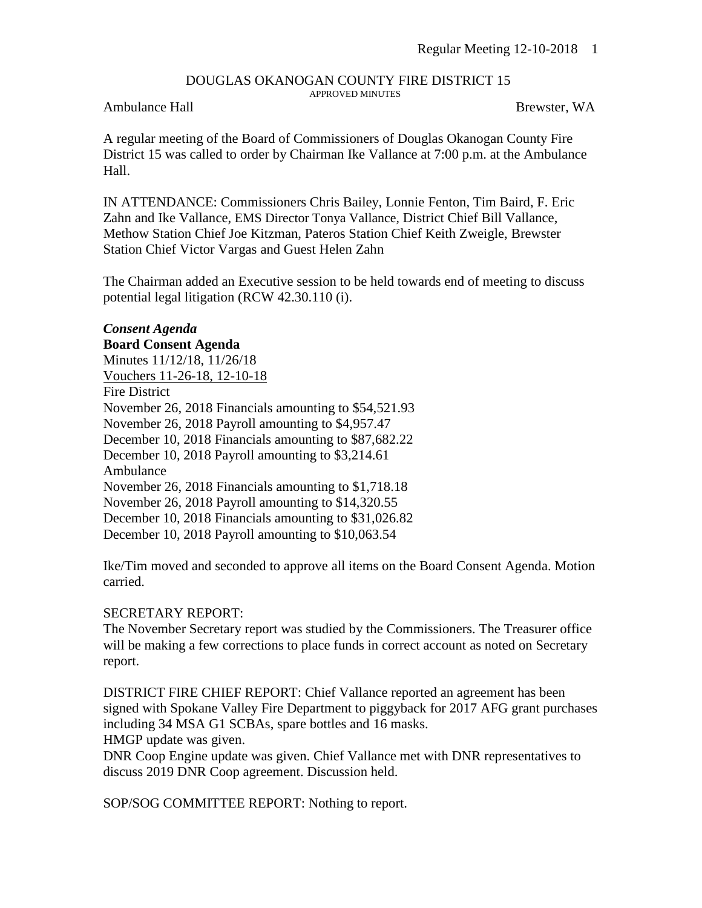#### DOUGLAS OKANOGAN COUNTY FIRE DISTRICT 15 APPROVED MINUTES

### Ambulance Hall Brewster, WA

A regular meeting of the Board of Commissioners of Douglas Okanogan County Fire District 15 was called to order by Chairman Ike Vallance at 7:00 p.m. at the Ambulance Hall.

IN ATTENDANCE: Commissioners Chris Bailey, Lonnie Fenton, Tim Baird, F. Eric Zahn and Ike Vallance, EMS Director Tonya Vallance, District Chief Bill Vallance, Methow Station Chief Joe Kitzman, Pateros Station Chief Keith Zweigle, Brewster Station Chief Victor Vargas and Guest Helen Zahn

The Chairman added an Executive session to be held towards end of meeting to discuss potential legal litigation (RCW 42.30.110 (i).

### *Consent Agenda* **Board Consent Agenda** Minutes 11/12/18, 11/26/18 Vouchers 11-26-18, 12-10-18 Fire District November 26, 2018 Financials amounting to \$54,521.93 November 26, 2018 Payroll amounting to \$4,957.47 December 10, 2018 Financials amounting to \$87,682.22 December 10, 2018 Payroll amounting to \$3,214.61 Ambulance November 26, 2018 Financials amounting to \$1,718.18 November 26, 2018 Payroll amounting to \$14,320.55 December 10, 2018 Financials amounting to \$31,026.82 December 10, 2018 Payroll amounting to \$10,063.54

Ike/Tim moved and seconded to approve all items on the Board Consent Agenda. Motion carried.

#### SECRETARY REPORT:

The November Secretary report was studied by the Commissioners. The Treasurer office will be making a few corrections to place funds in correct account as noted on Secretary report.

DISTRICT FIRE CHIEF REPORT: Chief Vallance reported an agreement has been signed with Spokane Valley Fire Department to piggyback for 2017 AFG grant purchases including 34 MSA G1 SCBAs, spare bottles and 16 masks.

HMGP update was given.

DNR Coop Engine update was given. Chief Vallance met with DNR representatives to discuss 2019 DNR Coop agreement. Discussion held.

SOP/SOG COMMITTEE REPORT: Nothing to report.